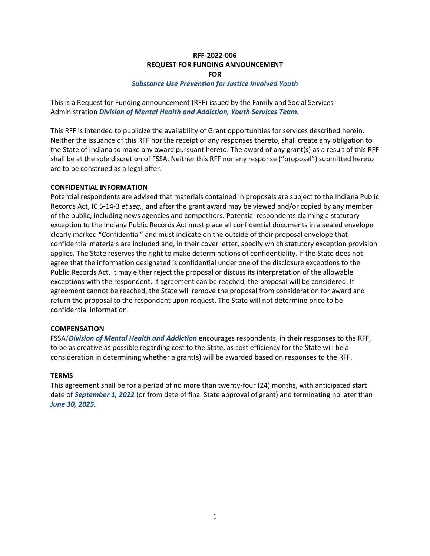#### **RFF-2022-006 REQUEST FOR FUNDING ANNOUNCEMENT FOR**

#### *Substance Use Prevention for Justice Involved Youth*

This is a Request for Funding announcement (RFF) issued by the Family and Social Services Administration *Division of Mental Health and Addiction, Youth Services Team.*

This RFF is intended to publicize the availability of Grant opportunities for services described herein. Neither the issuance of this RFF nor the receipt of any responses thereto, shall create any obligation to the State of Indiana to make any award pursuant hereto. The award of any grant(s) as a result of this RFF shall be at the sole discretion of FSSA. Neither this RFF nor any response ("proposal") submitted hereto are to be construed as a legal offer.

#### **CONFIDENTIAL INFORMATION**

Potential respondents are advised that materials contained in proposals are subject to the Indiana Public Records Act, IC 5-14-3 *et seq.*, and after the grant award may be viewed and/or copied by any member of the public, including news agencies and competitors. Potential respondents claiming a statutory exception to the Indiana Public Records Act must place all confidential documents in a sealed envelope clearly marked "Confidential" and must indicate on the outside of their proposal envelope that confidential materials are included and, in their cover letter, specify which statutory exception provision applies. The State reserves the right to make determinations of confidentiality. If the State does not agree that the information designated is confidential under one of the disclosure exceptions to the Public Records Act, it may either reject the proposal or discuss its interpretation of the allowable exceptions with the respondent. If agreement can be reached, the proposal will be considered. If agreement cannot be reached, the State will remove the proposal from consideration for award and return the proposal to the respondent upon request. The State will not determine price to be confidential information.

#### **COMPENSATION**

FSSA/*Division of Mental Health and Addiction* encourages respondents, in their responses to the RFF, to be as creative as possible regarding cost to the State, as cost efficiency for the State will be a consideration in determining whether a grant(s) will be awarded based on responses to the RFF.

#### **TERMS**

This agreement shall be for a period of no more than twenty-four (24) months, with anticipated start date of *September 1, 2022* (or from date of final State approval of grant) and terminating no later than *June 30, 2025.*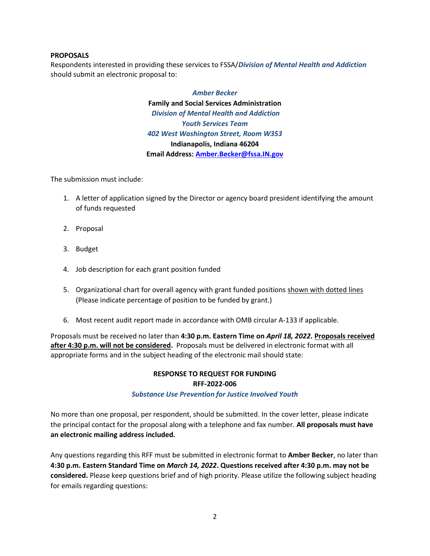#### **PROPOSALS**

Respondents interested in providing these services to FSSA/*Division of Mental Health and Addiction* should submit an electronic proposal to:

> *Amber Becker* **Family and Social Services Administration** *Division of Mental Health and Addiction Youth Services Team 402 West Washington Street, Room W353* **Indianapolis, Indiana 46204 Email Address[: Amber.Becker@fssa.IN.gov](mailto:Amber.Becker@fssa.IN.gov)**

The submission must include:

- 1. A letter of application signed by the Director or agency board president identifying the amount of funds requested
- 2. Proposal
- 3. Budget
- 4. Job description for each grant position funded
- 5. Organizational chart for overall agency with grant funded positions shown with dotted lines (Please indicate percentage of position to be funded by grant.)
- 6. Most recent audit report made in accordance with OMB circular A-133 if applicable.

Proposals must be received no later than **4:30 p.m. Eastern Time on** *April 18, 2022***. Proposals received after 4:30 p.m. will not be considered.** Proposals must be delivered in electronic format with all appropriate forms and in the subject heading of the electronic mail should state:

# **RESPONSE TO REQUEST FOR FUNDING RFF-2022-006**

#### *Substance Use Prevention for Justice Involved Youth*

No more than one proposal, per respondent, should be submitted. In the cover letter, please indicate the principal contact for the proposal along with a telephone and fax number. **All proposals must have an electronic mailing address included.**

Any questions regarding this RFF must be submitted in electronic format to **Amber Becker**, no later than **4:30 p.m. Eastern Standard Time on** *March 14, 2022***. Questions received after 4:30 p.m. may not be considered.** Please keep questions brief and of high priority. Please utilize the following subject heading for emails regarding questions: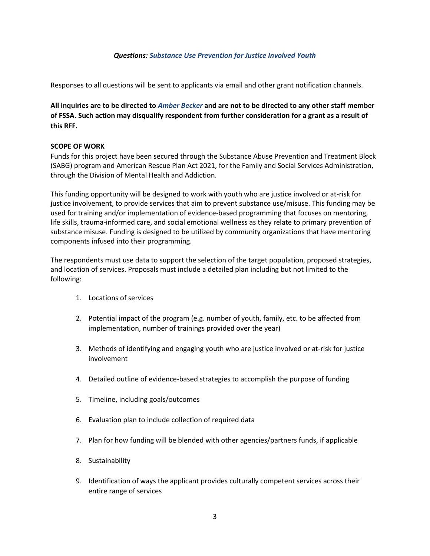#### *Questions: Substance Use Prevention for Justice Involved Youth*

Responses to all questions will be sent to applicants via email and other grant notification channels.

**All inquiries are to be directed to** *Amber Becker* **and are not to be directed to any other staff member of FSSA. Such action may disqualify respondent from further consideration for a grant as a result of this RFF.**

#### **SCOPE OF WORK**

Funds for this project have been secured through the Substance Abuse Prevention and Treatment Block (SABG) program and American Rescue Plan Act 2021, for the Family and Social Services Administration, through the Division of Mental Health and Addiction.

This funding opportunity will be designed to work with youth who are justice involved or at-risk for justice involvement, to provide services that aim to prevent substance use/misuse. This funding may be used for training and/or implementation of evidence-based programming that focuses on mentoring, life skills, trauma-informed care, and social emotional wellness as they relate to primary prevention of substance misuse. Funding is designed to be utilized by community organizations that have mentoring components infused into their programming.

The respondents must use data to support the selection of the target population, proposed strategies, and location of services. Proposals must include a detailed plan including but not limited to the following:

- 1. Locations of services
- 2. Potential impact of the program (e.g. number of youth, family, etc. to be affected from implementation, number of trainings provided over the year)
- 3. Methods of identifying and engaging youth who are justice involved or at-risk for justice involvement
- 4. Detailed outline of evidence-based strategies to accomplish the purpose of funding
- 5. Timeline, including goals/outcomes
- 6. Evaluation plan to include collection of required data
- 7. Plan for how funding will be blended with other agencies/partners funds, if applicable
- 8. Sustainability
- 9. Identification of ways the applicant provides culturally competent services across their entire range of services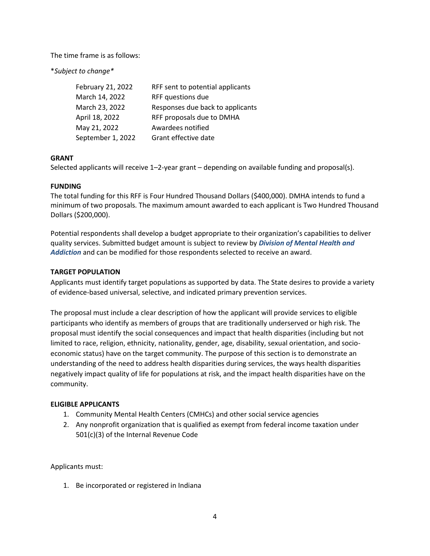The time frame is as follows:

\**Subject to change\**

| February 21, 2022 | RFF sent to potential applicants |
|-------------------|----------------------------------|
| March 14, 2022    | RFF questions due                |
| March 23, 2022    | Responses due back to applicants |
| April 18, 2022    | RFF proposals due to DMHA        |
| May 21, 2022      | Awardees notified                |
| September 1, 2022 | Grant effective date             |

#### **GRANT**

Selected applicants will receive 1–2-year grant – depending on available funding and proposal(s).

### **FUNDING**

The total funding for this RFF is Four Hundred Thousand Dollars (\$400,000). DMHA intends to fund a minimum of two proposals. The maximum amount awarded to each applicant is Two Hundred Thousand Dollars (\$200,000).

Potential respondents shall develop a budget appropriate to their organization's capabilities to deliver quality services. Submitted budget amount is subject to review by *Division of Mental Health and Addiction* and can be modified for those respondents selected to receive an award.

### **TARGET POPULATION**

Applicants must identify target populations as supported by data. The State desires to provide a variety of evidence-based universal, selective, and indicated primary prevention services.

The proposal must include a clear description of how the applicant will provide services to eligible participants who identify as members of groups that are traditionally underserved or high risk. The proposal must identify the social consequences and impact that health disparities (including but not limited to race, religion, ethnicity, nationality, gender, age, disability, sexual orientation, and socioeconomic status) have on the target community. The purpose of this section is to demonstrate an understanding of the need to address health disparities during services, the ways health disparities negatively impact quality of life for populations at risk, and the impact health disparities have on the community.

#### **ELIGIBLE APPLICANTS**

- 1. Community Mental Health Centers (CMHCs) and other social service agencies
- 2. Any nonprofit organization that is qualified as exempt from federal income taxation under 501(c)(3) of the Internal Revenue Code

Applicants must:

1. Be incorporated or registered in Indiana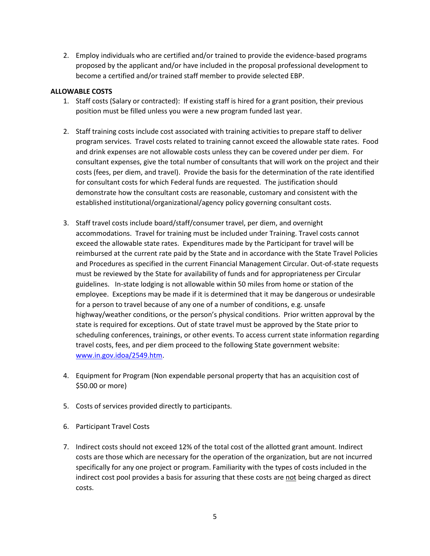2. Employ individuals who are certified and/or trained to provide the evidence-based programs proposed by the applicant and/or have included in the proposal professional development to become a certified and/or trained staff member to provide selected EBP.

#### **ALLOWABLE COSTS**

- 1. Staff costs (Salary or contracted): If existing staff is hired for a grant position, their previous position must be filled unless you were a new program funded last year.
- 2. Staff training costs include cost associated with training activities to prepare staff to deliver program services. Travel costs related to training cannot exceed the allowable state rates. Food and drink expenses are not allowable costs unless they can be covered under per diem. For consultant expenses, give the total number of consultants that will work on the project and their costs (fees, per diem, and travel). Provide the basis for the determination of the rate identified for consultant costs for which Federal funds are requested. The justification should demonstrate how the consultant costs are reasonable, customary and consistent with the established institutional/organizational/agency policy governing consultant costs.
- 3. Staff travel costs include board/staff/consumer travel, per diem, and overnight accommodations. Travel for training must be included under Training. Travel costs cannot exceed the allowable state rates. Expenditures made by the Participant for travel will be reimbursed at the current rate paid by the State and in accordance with the State Travel Policies and Procedures as specified in the current Financial Management Circular. Out-of-state requests must be reviewed by the State for availability of funds and for appropriateness per Circular guidelines. In-state lodging is not allowable within 50 miles from home or station of the employee. Exceptions may be made if it is determined that it may be dangerous or undesirable for a person to travel because of any one of a number of conditions, e.g. unsafe highway/weather conditions, or the person's physical conditions. Prior written approval by the state is required for exceptions. Out of state travel must be approved by the State prior to scheduling conferences, trainings, or other events. To access current state information regarding travel costs, fees, and per diem proceed to the following State government website: [www.in.gov.idoa/2549.htm.](http://www.in.gov.idoa/2549.htm)
- 4. Equipment for Program (Non expendable personal property that has an acquisition cost of \$50.00 or more)
- 5. Costs of services provided directly to participants.
- 6. Participant Travel Costs
- 7. Indirect costs should not exceed 12% of the total cost of the allotted grant amount. Indirect costs are those which are necessary for the operation of the organization, but are not incurred specifically for any one project or program. Familiarity with the types of costs included in the indirect cost pool provides a basis for assuring that these costs are not being charged as direct costs.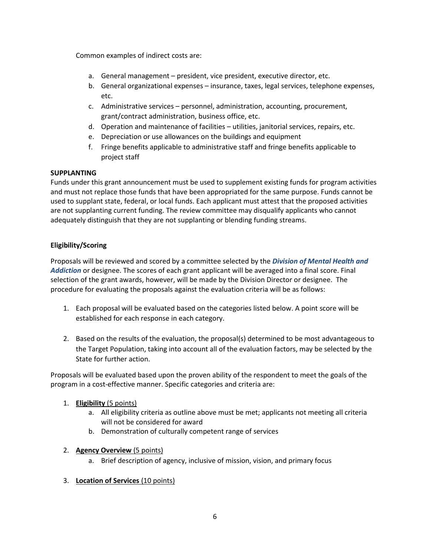Common examples of indirect costs are:

- a. General management president, vice president, executive director, etc.
- b. General organizational expenses insurance, taxes, legal services, telephone expenses, etc.
- c. Administrative services personnel, administration, accounting, procurement, grant/contract administration, business office, etc.
- d. Operation and maintenance of facilities utilities, janitorial services, repairs, etc.
- e. Depreciation or use allowances on the buildings and equipment
- f. Fringe benefits applicable to administrative staff and fringe benefits applicable to project staff

#### **SUPPLANTING**

Funds under this grant announcement must be used to supplement existing funds for program activities and must not replace those funds that have been appropriated for the same purpose. Funds cannot be used to supplant state, federal, or local funds. Each applicant must attest that the proposed activities are not supplanting current funding. The review committee may disqualify applicants who cannot adequately distinguish that they are not supplanting or blending funding streams.

### **Eligibility/Scoring**

Proposals will be reviewed and scored by a committee selected by the *Division of Mental Health and Addiction* or designee. The scores of each grant applicant will be averaged into a final score. Final selection of the grant awards, however, will be made by the Division Director or designee. The procedure for evaluating the proposals against the evaluation criteria will be as follows:

- 1. Each proposal will be evaluated based on the categories listed below. A point score will be established for each response in each category.
- 2. Based on the results of the evaluation, the proposal(s) determined to be most advantageous to the Target Population, taking into account all of the evaluation factors, may be selected by the State for further action.

Proposals will be evaluated based upon the proven ability of the respondent to meet the goals of the program in a cost-effective manner. Specific categories and criteria are:

### 1. **Eligibility** (5 points)

- a. All eligibility criteria as outline above must be met; applicants not meeting all criteria will not be considered for award
- b. Demonstration of culturally competent range of services
- 2. **Agency Overview** (5 points)
	- a. Brief description of agency, inclusive of mission, vision, and primary focus
- 3. **Location of Services** (10 points)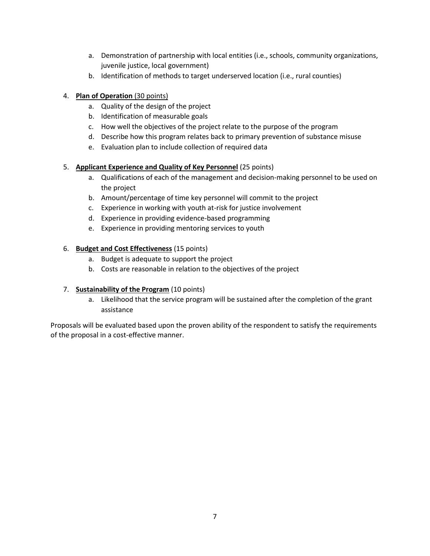- a. Demonstration of partnership with local entities (i.e., schools, community organizations, juvenile justice, local government)
- b. Identification of methods to target underserved location (i.e., rural counties)

### 4. **Plan of Operation** (30 points)

- a. Quality of the design of the project
- b. Identification of measurable goals
- c. How well the objectives of the project relate to the purpose of the program
- d. Describe how this program relates back to primary prevention of substance misuse
- e. Evaluation plan to include collection of required data

### 5. **Applicant Experience and Quality of Key Personnel** (25 points)

- a. Qualifications of each of the management and decision-making personnel to be used on the project
- b. Amount/percentage of time key personnel will commit to the project
- c. Experience in working with youth at-risk for justice involvement
- d. Experience in providing evidence-based programming
- e. Experience in providing mentoring services to youth

### 6. **Budget and Cost Effectiveness** (15 points)

- a. Budget is adequate to support the project
- b. Costs are reasonable in relation to the objectives of the project

### 7. **Sustainability of the Program** (10 points)

a. Likelihood that the service program will be sustained after the completion of the grant assistance

Proposals will be evaluated based upon the proven ability of the respondent to satisfy the requirements of the proposal in a cost-effective manner.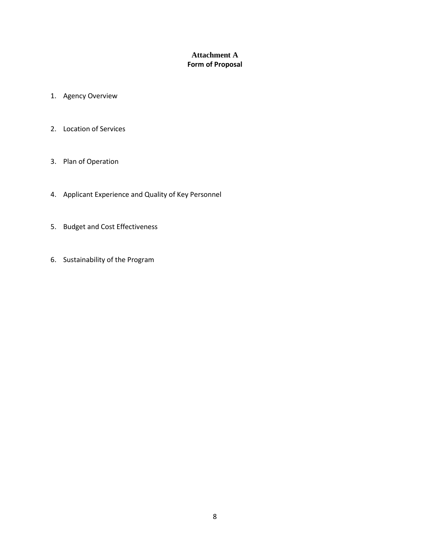### **Attachment A Form of Proposal**

- 1. Agency Overview
- 2. Location of Services
- 3. Plan of Operation
- 4. Applicant Experience and Quality of Key Personnel
- 5. Budget and Cost Effectiveness
- 6. Sustainability of the Program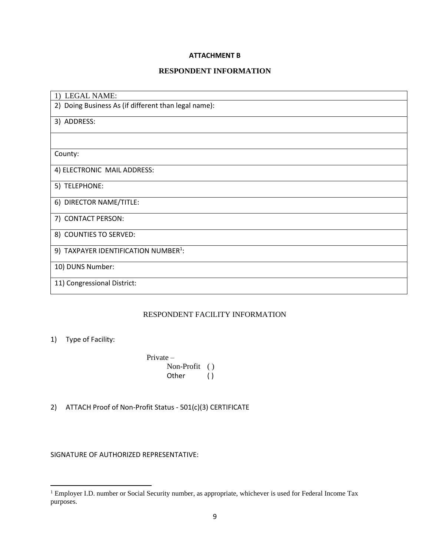#### **ATTACHMENT B**

### **RESPONDENT INFORMATION**

| 1) LEGAL NAME:                                       |
|------------------------------------------------------|
| 2) Doing Business As (if different than legal name): |
| 3) ADDRESS:                                          |
|                                                      |
| County:                                              |
| 4) ELECTRONIC MAIL ADDRESS:                          |
| 5) TELEPHONE:                                        |
| 6) DIRECTOR NAME/TITLE:                              |
| 7) CONTACT PERSON:                                   |
| 8) COUNTIES TO SERVED:                               |
| 9) TAXPAYER IDENTIFICATION NUMBER <sup>1</sup> :     |
| 10) DUNS Number:                                     |
| 11) Congressional District:                          |

### RESPONDENT FACILITY INFORMATION

### 1) Type of Facility:

Private – Non-Profit ( ) Other ()

2) ATTACH Proof of Non-Profit Status - 501(c)(3) CERTIFICATE

SIGNATURE OF AUTHORIZED REPRESENTATIVE:

<sup>&</sup>lt;sup>1</sup> Employer I.D. number or Social Security number, as appropriate, whichever is used for Federal Income Tax purposes.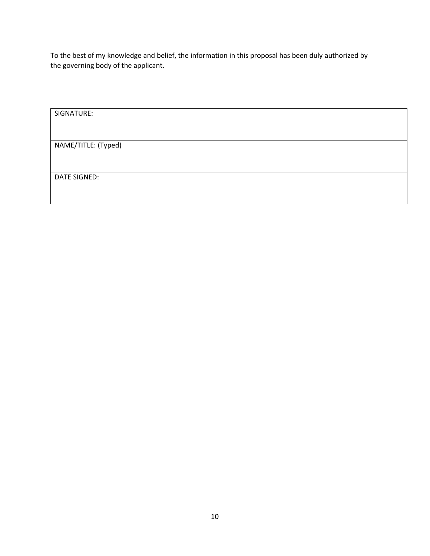To the best of my knowledge and belief, the information in this proposal has been duly authorized by the governing body of the applicant.

| SIGNATURE:          |  |  |
|---------------------|--|--|
|                     |  |  |
| NAME/TITLE: (Typed) |  |  |
|                     |  |  |
| DATE SIGNED:        |  |  |
|                     |  |  |
|                     |  |  |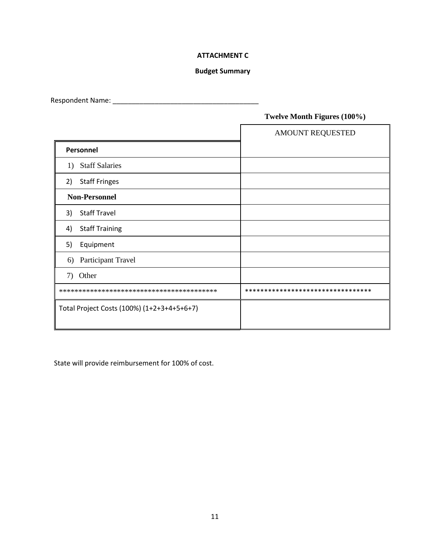### **ATTACHMENT C**

#### **Budget Summary**

Respondent Name: \_\_\_\_\_\_\_\_\_\_\_\_\_\_\_\_\_\_\_\_\_\_\_\_\_\_\_\_\_\_\_\_\_\_\_\_\_\_

### **Twelve Month Figures (100%)**

|                                            | AMOUNT REQUESTED                  |
|--------------------------------------------|-----------------------------------|
| Personnel                                  |                                   |
| 1) Staff Salaries                          |                                   |
| <b>Staff Fringes</b><br>2)                 |                                   |
| <b>Non-Personnel</b>                       |                                   |
| <b>Staff Travel</b><br>3)                  |                                   |
| <b>Staff Training</b><br>4)                |                                   |
| Equipment<br>5)                            |                                   |
| Participant Travel<br>6)                   |                                   |
| Other<br>7)                                |                                   |
|                                            | ********************************* |
| Total Project Costs (100%) (1+2+3+4+5+6+7) |                                   |

State will provide reimbursement for 100% of cost.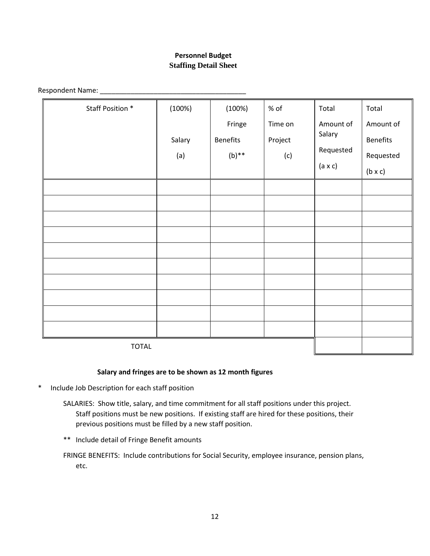### **Personnel Budget Staffing Detail Sheet**

Respondent Name: \_\_\_\_\_\_\_\_\_\_\_\_\_\_\_\_\_\_\_\_\_\_\_\_\_\_\_\_\_\_\_\_\_\_\_\_\_\_

| Staff Position * | (100%) | (100%)          | $%$ of  | Total          | Total           |
|------------------|--------|-----------------|---------|----------------|-----------------|
|                  |        | Fringe          | Time on | Amount of      | Amount of       |
|                  | Salary | <b>Benefits</b> | Project | Salary         | <b>Benefits</b> |
|                  | (a)    | $(b)$ **        | (c)     | Requested      | Requested       |
|                  |        |                 |         | $(a \times c)$ | $(b \times c)$  |
|                  |        |                 |         |                |                 |
|                  |        |                 |         |                |                 |
|                  |        |                 |         |                |                 |
|                  |        |                 |         |                |                 |
|                  |        |                 |         |                |                 |
|                  |        |                 |         |                |                 |
|                  |        |                 |         |                |                 |
|                  |        |                 |         |                |                 |
|                  |        |                 |         |                |                 |
|                  |        |                 |         |                |                 |
| <b>TOTAL</b>     |        |                 |         |                |                 |

TOTAL

#### **Salary and fringes are to be shown as 12 month figures**

- \* Include Job Description for each staff position
	- SALARIES: Show title, salary, and time commitment for all staff positions under this project. Staff positions must be new positions. If existing staff are hired for these positions, their previous positions must be filled by a new staff position.
	- \*\* Include detail of Fringe Benefit amounts

FRINGE BENEFITS: Include contributions for Social Security, employee insurance, pension plans, etc.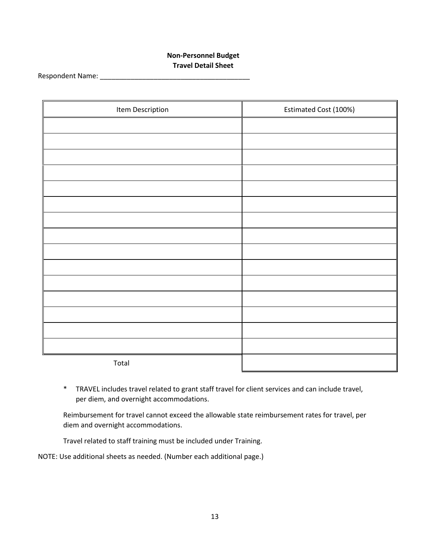### **Non-Personnel Budget Travel Detail Sheet**

Respondent Name: \_\_\_\_\_\_\_\_\_\_\_\_\_\_\_\_\_\_\_\_\_\_\_\_\_\_\_\_\_\_\_\_\_\_\_\_\_\_\_

| Item Description | Estimated Cost (100%) |
|------------------|-----------------------|
|                  |                       |
|                  |                       |
|                  |                       |
|                  |                       |
|                  |                       |
|                  |                       |
|                  |                       |
|                  |                       |
|                  |                       |
|                  |                       |
|                  |                       |
|                  |                       |
|                  |                       |
|                  |                       |
|                  |                       |
| Total            |                       |

\* TRAVEL includes travel related to grant staff travel for client services and can include travel, per diem, and overnight accommodations.

Reimbursement for travel cannot exceed the allowable state reimbursement rates for travel, per diem and overnight accommodations.

Travel related to staff training must be included under Training.

NOTE: Use additional sheets as needed. (Number each additional page.)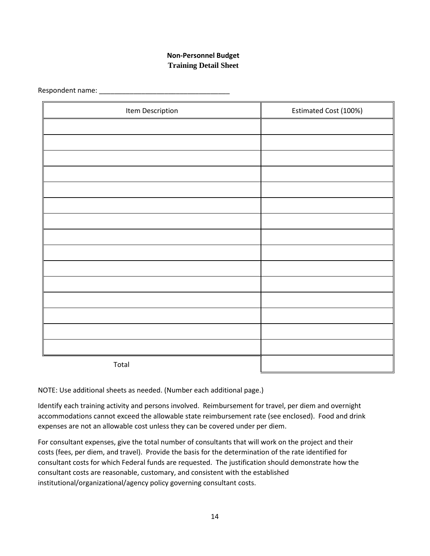### **Non-Personnel Budget Training Detail Sheet**

Respondent name: \_\_\_\_\_\_\_\_\_\_\_\_\_\_\_\_\_\_\_\_\_\_\_\_\_\_\_\_\_\_\_\_\_\_

| Item Description | Estimated Cost (100%) |
|------------------|-----------------------|
|                  |                       |
|                  |                       |
|                  |                       |
|                  |                       |
|                  |                       |
|                  |                       |
|                  |                       |
|                  |                       |
|                  |                       |
|                  |                       |
|                  |                       |
|                  |                       |
|                  |                       |
|                  |                       |
|                  |                       |
| Total            |                       |

NOTE: Use additional sheets as needed. (Number each additional page.)

Identify each training activity and persons involved. Reimbursement for travel, per diem and overnight accommodations cannot exceed the allowable state reimbursement rate (see enclosed). Food and drink expenses are not an allowable cost unless they can be covered under per diem.

For consultant expenses, give the total number of consultants that will work on the project and their costs (fees, per diem, and travel). Provide the basis for the determination of the rate identified for consultant costs for which Federal funds are requested. The justification should demonstrate how the consultant costs are reasonable, customary, and consistent with the established institutional/organizational/agency policy governing consultant costs.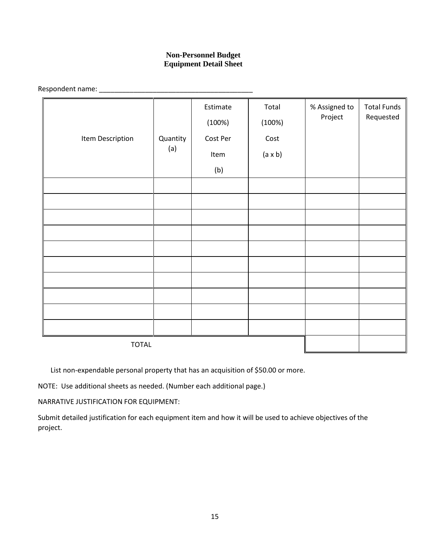### **Non-Personnel Budget Equipment Detail Sheet**

Respondent name: \_\_\_\_\_\_\_\_\_\_\_\_\_\_\_\_\_\_\_\_\_\_\_\_\_\_\_\_\_\_\_\_\_\_\_\_\_\_\_\_

|                  |          | Estimate<br>(100%) | Total<br>(100%) | % Assigned to<br>Project | <b>Total Funds</b><br>Requested |                |  |  |
|------------------|----------|--------------------|-----------------|--------------------------|---------------------------------|----------------|--|--|
| Item Description | Quantity | Cost Per           | Cost            |                          |                                 |                |  |  |
|                  | (a)      |                    |                 |                          | Item                            | $(a \times b)$ |  |  |
|                  |          | (b)                |                 |                          |                                 |                |  |  |
|                  |          |                    |                 |                          |                                 |                |  |  |
|                  |          |                    |                 |                          |                                 |                |  |  |
|                  |          |                    |                 |                          |                                 |                |  |  |
|                  |          |                    |                 |                          |                                 |                |  |  |
|                  |          |                    |                 |                          |                                 |                |  |  |
|                  |          |                    |                 |                          |                                 |                |  |  |
|                  |          |                    |                 |                          |                                 |                |  |  |
|                  |          |                    |                 |                          |                                 |                |  |  |
|                  |          |                    |                 |                          |                                 |                |  |  |
|                  |          |                    |                 |                          |                                 |                |  |  |
| <b>TOTAL</b>     |          |                    |                 |                          |                                 |                |  |  |

List non-expendable personal property that has an acquisition of \$50.00 or more.

NOTE: Use additional sheets as needed. (Number each additional page.)

NARRATIVE JUSTIFICATION FOR EQUIPMENT:

Submit detailed justification for each equipment item and how it will be used to achieve objectives of the project.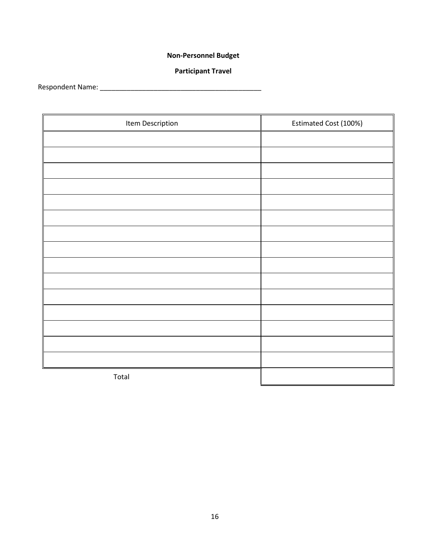# **Non-Personnel Budget**

### **Participant Travel**

Respondent Name: \_\_\_\_\_\_\_\_\_\_\_\_\_\_\_\_\_\_\_\_\_\_\_\_\_\_\_\_\_\_\_\_\_\_\_\_\_\_\_\_\_\_

| Item Description | Estimated Cost (100%) |
|------------------|-----------------------|
|                  |                       |
|                  |                       |
|                  |                       |
|                  |                       |
|                  |                       |
|                  |                       |
|                  |                       |
|                  |                       |
|                  |                       |
|                  |                       |
|                  |                       |
|                  |                       |
|                  |                       |
|                  |                       |
|                  |                       |
| Total            |                       |